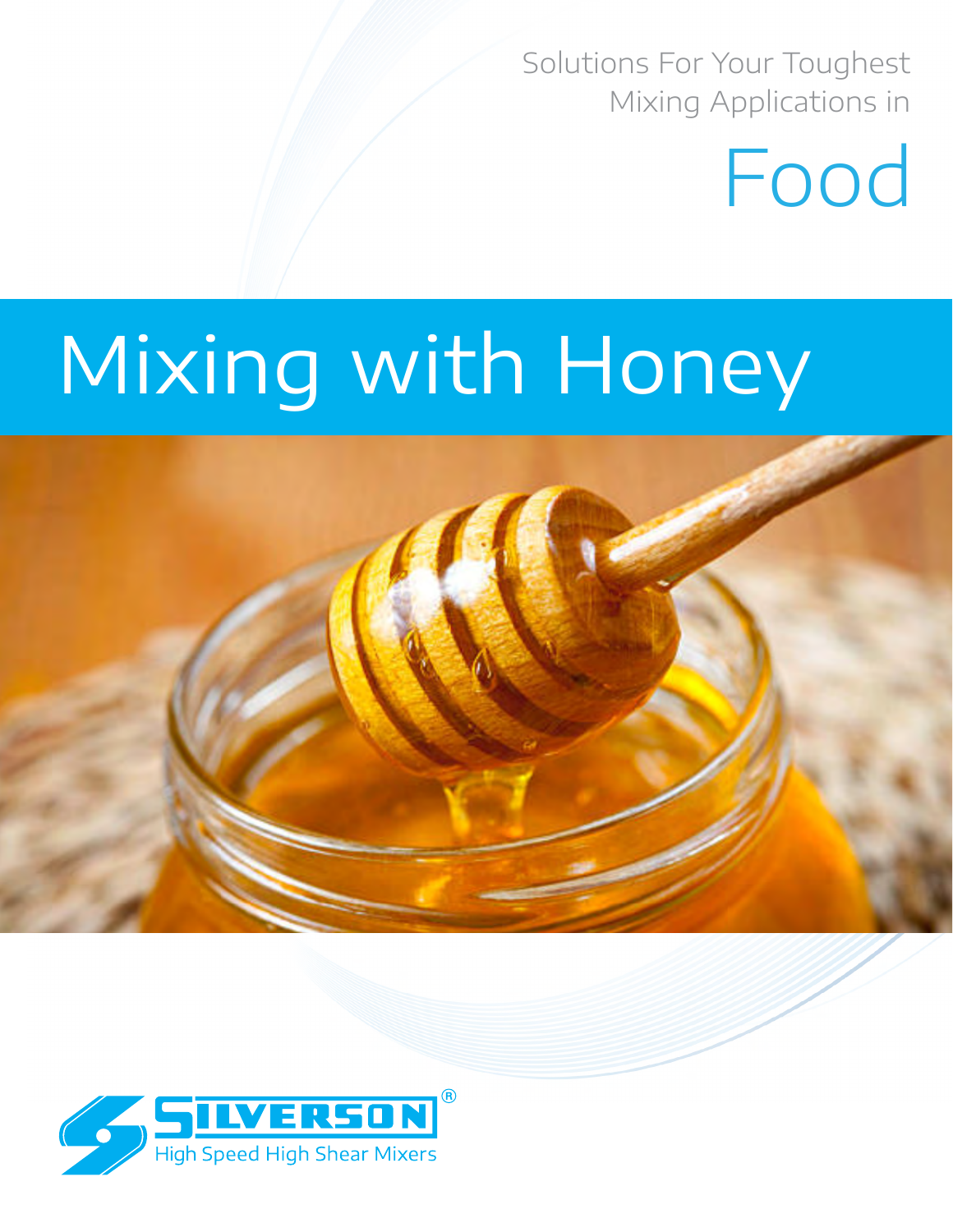Solutions For Your Toughest Mixing Applications in

# Food

# Mixing with Honey

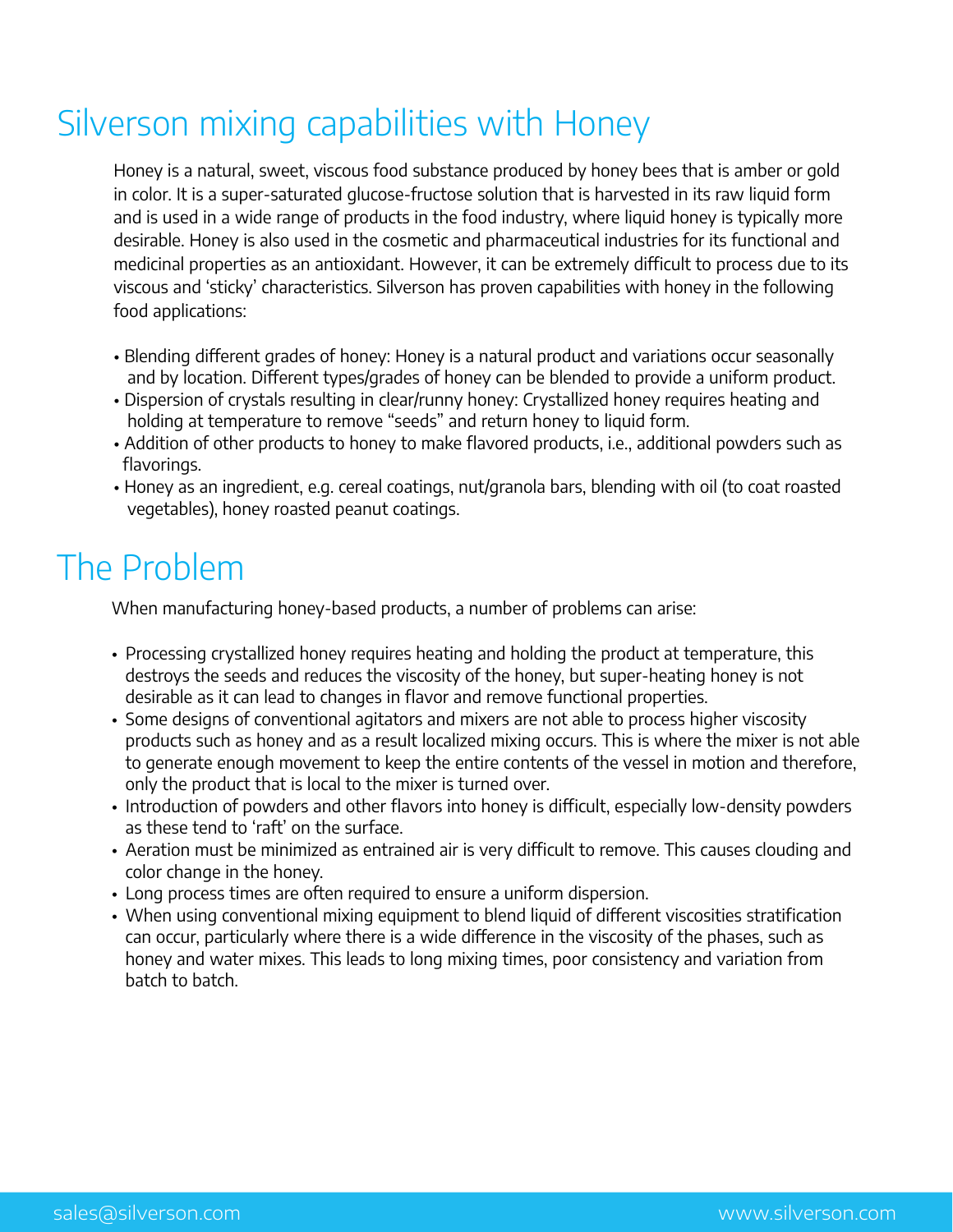# Silverson mixing capabilities with Honey

Honey is a natural, sweet, viscous food substance produced by honey bees that is amber or gold in color. It is a super-saturated glucose-fructose solution that is harvested in its raw liquid form and is used in a wide range of products in the food industry, where liquid honey is typically more desirable. Honey is also used in the cosmetic and pharmaceutical industries for its functional and medicinal properties as an antioxidant. However, it can be extremely difficult to process due to its viscous and 'sticky' characteristics. Silverson has proven capabilities with honey in the following food applications:

- Blending different grades of honey: Honey is a natural product and variations occur seasonally and by location. Different types/grades of honey can be blended to provide a uniform product.
- Dispersion of crystals resulting in clear/runny honey: Crystallized honey requires heating and holding at temperature to remove "seeds" and return honey to liquid form.
- Addition of other products to honey to make flavored products, i.e., additional powders such as flavorings.
- Honey as an ingredient, e.g. cereal coatings, nut/granola bars, blending with oil (to coat roasted vegetables), honey roasted peanut coatings.

## The Problem

When manufacturing honey-based products, a number of problems can arise:

- Processing crystallized honey requires heating and holding the product at temperature, this destroys the seeds and reduces the viscosity of the honey, but super-heating honey is not desirable as it can lead to changes in flavor and remove functional properties.
- Some designs of conventional agitators and mixers are not able to process higher viscosity products such as honey and as a result localized mixing occurs. This is where the mixer is not able to generate enough movement to keep the entire contents of the vessel in motion and therefore, only the product that is local to the mixer is turned over.
- Introduction of powders and other flavors into honey is difficult, especially low-density powders as these tend to 'raft' on the surface.
- Aeration must be minimized as entrained air is very difficult to remove. This causes clouding and color change in the honey.
- Long process times are often required to ensure a uniform dispersion.
- When using conventional mixing equipment to blend liquid of different viscosities stratification can occur, particularly where there is a wide difference in the viscosity of the phases, such as honey and water mixes. This leads to long mixing times, poor consistency and variation from batch to batch.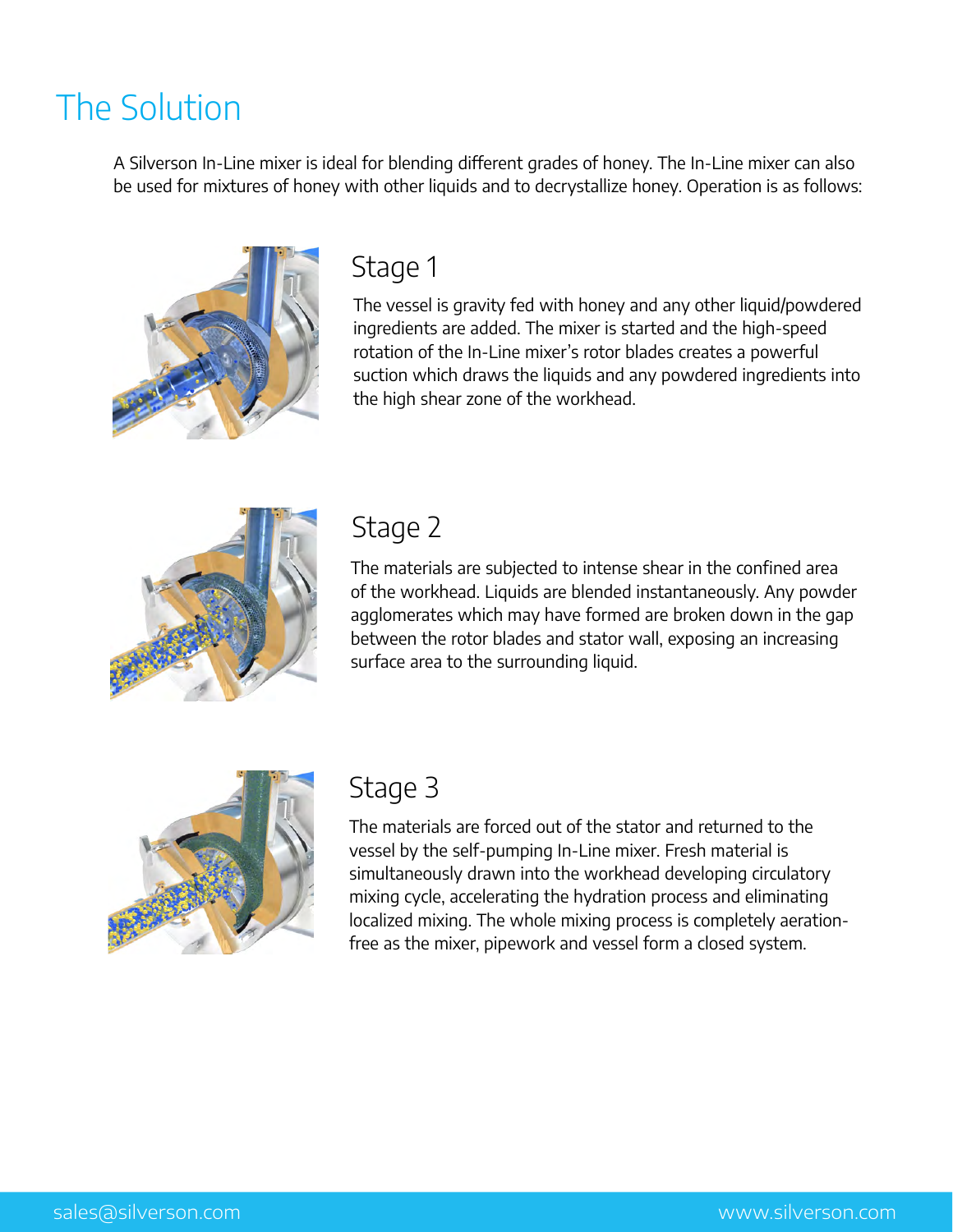## The Solution

A Silverson In-Line mixer is ideal for blending different grades of honey. The In-Line mixer can also be used for mixtures of honey with other liquids and to decrystallize honey. Operation is as follows:



## Stage 1

The vessel is gravity fed with honey and any other liquid/powdered ingredients are added. The mixer is started and the high-speed rotation of the In-Line mixer's rotor blades creates a powerful suction which draws the liquids and any powdered ingredients into the high shear zone of the workhead.



### Stage 2

The materials are subjected to intense shear in the confined area of the workhead. Liquids are blended instantaneously. Any powder agglomerates which may have formed are broken down in the gap between the rotor blades and stator wall, exposing an increasing surface area to the surrounding liquid.



## Stage 3

The materials are forced out of the stator and returned to the vessel by the self-pumping In-Line mixer. Fresh material is simultaneously drawn into the workhead developing circulatory mixing cycle, accelerating the hydration process and eliminating localized mixing. The whole mixing process is completely aerationfree as the mixer, pipework and vessel form a closed system.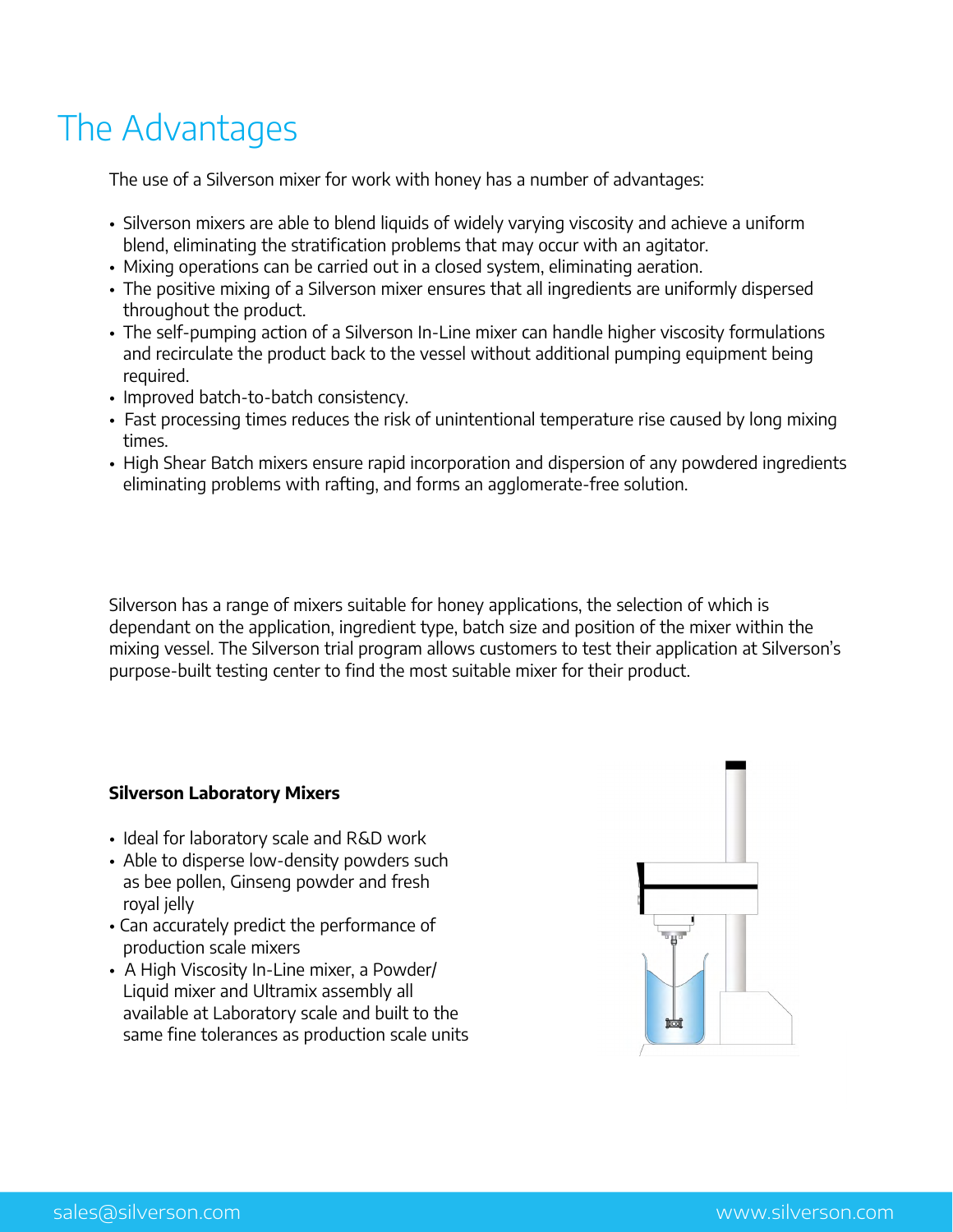# The Advantages

The use of a Silverson mixer for work with honey has a number of advantages:

- Silverson mixers are able to blend liquids of widely varying viscosity and achieve a uniform blend, eliminating the stratification problems that may occur with an agitator.
- Mixing operations can be carried out in a closed system, eliminating aeration.
- The positive mixing of a Silverson mixer ensures that all ingredients are uniformly dispersed throughout the product.
- The self-pumping action of a Silverson In-Line mixer can handle higher viscosity formulations and recirculate the product back to the vessel without additional pumping equipment being required.
- Improved batch-to-batch consistency.
- Fast processing times reduces the risk of unintentional temperature rise caused by long mixing times.
- High Shear Batch mixers ensure rapid incorporation and dispersion of any powdered ingredients eliminating problems with rafting, and forms an agglomerate-free solution.

Silverson has a range of mixers suitable for honey applications, the selection of which is dependant on the application, ingredient type, batch size and position of the mixer within the mixing vessel. The Silverson trial program allows customers to test their application at Silverson's purpose-built testing center to find the most suitable mixer for their product.

### **Silverson Laboratory Mixers**

- Ideal for laboratory scale and R&D work
- Able to disperse low-density powders such as bee pollen, Ginseng powder and fresh royal jelly
- Can accurately predict the performance of production scale mixers
- A High Viscosity In-Line mixer, a Powder/ Liquid mixer and Ultramix assembly all available at Laboratory scale and built to the same fine tolerances as production scale units